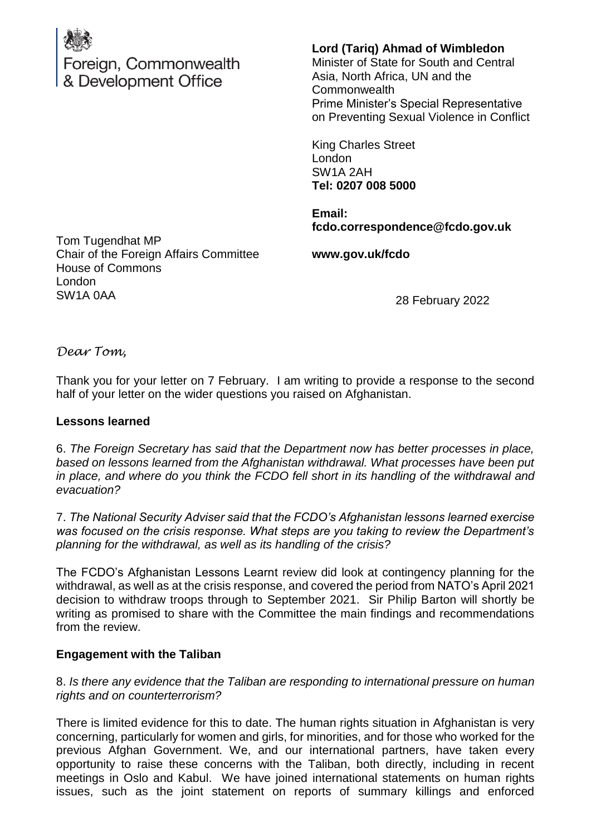

Foreign, Commonwealth & Development Office

**Lord (Tariq) Ahmad of Wimbledon**

Minister of State for South and Central Asia, North Africa, UN and the Commonwealth Prime Minister's Special Representative on Preventing Sexual Violence in Conflict

King Charles Street London SW1A 2AH **Tel: 0207 008 5000**

**Email: fcdo.correspondence@fcdo.gov.uk**

Tom Tugendhat MP Chair of the Foreign Affairs Committee House of Commons London SW1A 0AA

**www.gov.uk/fcdo**

28 February 2022

*Dear Tom,*

Thank you for your letter on 7 February. I am writing to provide a response to the second half of your letter on the wider questions you raised on Afghanistan.

## **Lessons learned**

6. *The Foreign Secretary has said that the Department now has better processes in place, based on lessons learned from the Afghanistan withdrawal. What processes have been put in place, and where do you think the FCDO fell short in its handling of the withdrawal and evacuation?* 

7. *The National Security Adviser said that the FCDO's Afghanistan lessons learned exercise was focused on the crisis response. What steps are you taking to review the Department's planning for the withdrawal, as well as its handling of the crisis?* 

The FCDO's Afghanistan Lessons Learnt review did look at contingency planning for the withdrawal, as well as at the crisis response, and covered the period from NATO's April 2021 decision to withdraw troops through to September 2021. Sir Philip Barton will shortly be writing as promised to share with the Committee the main findings and recommendations from the review.

# **Engagement with the Taliban**

8. *Is there any evidence that the Taliban are responding to international pressure on human rights and on counterterrorism?* 

There is limited evidence for this to date. The human rights situation in Afghanistan is very concerning, particularly for women and girls, for minorities, and for those who worked for the previous Afghan Government. We, and our international partners, have taken every opportunity to raise these concerns with the Taliban, both directly, including in recent meetings in Oslo and Kabul. We have joined international statements on human rights issues, such as the joint statement on reports of summary killings and enforced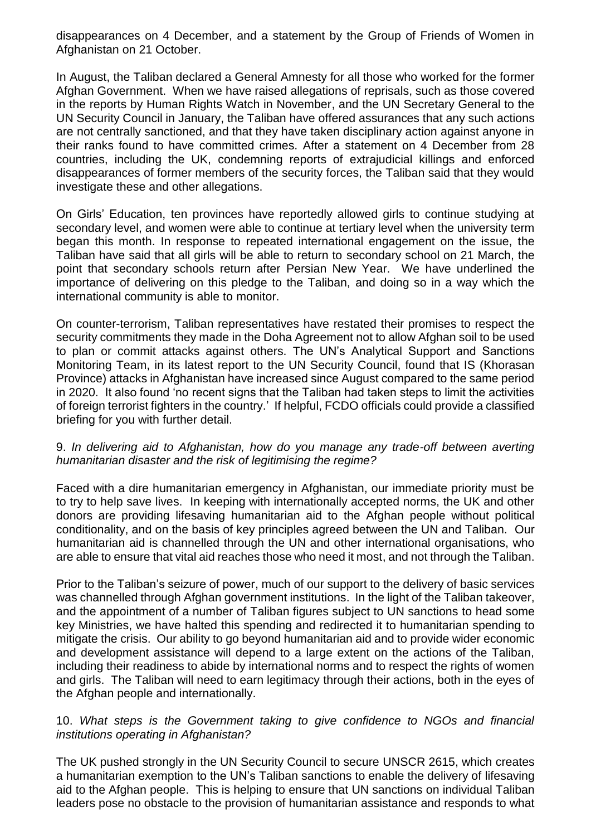disappearances on 4 December, and a statement by the Group of Friends of Women in Afghanistan on 21 October.

In August, the Taliban declared a General Amnesty for all those who worked for the former Afghan Government. When we have raised allegations of reprisals, such as those covered in the reports by Human Rights Watch in November, and the UN Secretary General to the UN Security Council in January, the Taliban have offered assurances that any such actions are not centrally sanctioned, and that they have taken disciplinary action against anyone in their ranks found to have committed crimes. After a statement on 4 December from 28 countries, including the UK, condemning reports of extrajudicial killings and enforced disappearances of former members of the security forces, the Taliban said that they would investigate these and other allegations.

On Girls' Education, ten provinces have reportedly allowed girls to continue studying at secondary level, and women were able to continue at tertiary level when the university term began this month. In response to repeated international engagement on the issue, the Taliban have said that all girls will be able to return to secondary school on 21 March, the point that secondary schools return after Persian New Year. We have underlined the importance of delivering on this pledge to the Taliban, and doing so in a way which the international community is able to monitor.

On counter-terrorism, Taliban representatives have restated their promises to respect the security commitments they made in the Doha Agreement not to allow Afghan soil to be used to plan or commit attacks against others. The UN's Analytical Support and Sanctions Monitoring Team, in its latest report to the UN Security Council, found that IS (Khorasan Province) attacks in Afghanistan have increased since August compared to the same period in 2020. It also found 'no recent signs that the Taliban had taken steps to limit the activities of foreign terrorist fighters in the country.' If helpful, FCDO officials could provide a classified briefing for you with further detail.

## 9. *In delivering aid to Afghanistan, how do you manage any trade-off between averting humanitarian disaster and the risk of legitimising the regime?*

Faced with a dire humanitarian emergency in Afghanistan, our immediate priority must be to try to help save lives. In keeping with internationally accepted norms, the UK and other donors are providing lifesaving humanitarian aid to the Afghan people without political conditionality, and on the basis of key principles agreed between the UN and Taliban. Our humanitarian aid is channelled through the UN and other international organisations, who are able to ensure that vital aid reaches those who need it most, and not through the Taliban.

Prior to the Taliban's seizure of power, much of our support to the delivery of basic services was channelled through Afghan government institutions. In the light of the Taliban takeover, and the appointment of a number of Taliban figures subject to UN sanctions to head some key Ministries, we have halted this spending and redirected it to humanitarian spending to mitigate the crisis. Our ability to go beyond humanitarian aid and to provide wider economic and development assistance will depend to a large extent on the actions of the Taliban, including their readiness to abide by international norms and to respect the rights of women and girls. The Taliban will need to earn legitimacy through their actions, both in the eyes of the Afghan people and internationally.

## 10. *What steps is the Government taking to give confidence to NGOs and financial institutions operating in Afghanistan?*

The UK pushed strongly in the UN Security Council to secure UNSCR 2615, which creates a humanitarian exemption to the UN's Taliban sanctions to enable the delivery of lifesaving aid to the Afghan people. This is helping to ensure that UN sanctions on individual Taliban leaders pose no obstacle to the provision of humanitarian assistance and responds to what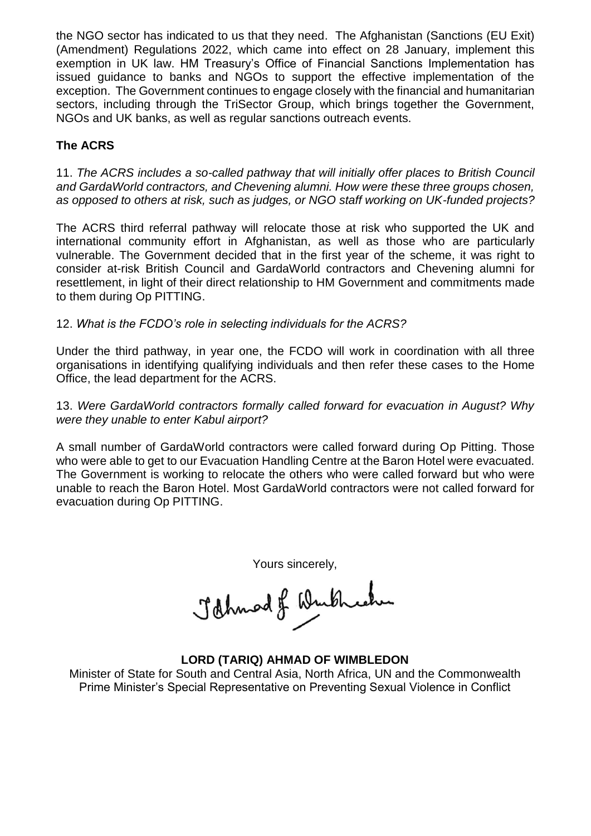the NGO sector has indicated to us that they need. The Afghanistan (Sanctions (EU Exit) (Amendment) Regulations 2022, which came into effect on 28 January, implement this exemption in UK law. HM Treasury's Office of Financial Sanctions Implementation has issued guidance to banks and NGOs to support the effective implementation of the exception. The Government continues to engage closely with the financial and humanitarian sectors, including through the TriSector Group, which brings together the Government, NGOs and UK banks, as well as regular sanctions outreach events.

# **The ACRS**

11. *The ACRS includes a so-called pathway that will initially offer places to British Council and GardaWorld contractors, and Chevening alumni. How were these three groups chosen, as opposed to others at risk, such as judges, or NGO staff working on UK-funded projects?*

The ACRS third referral pathway will relocate those at risk who supported the UK and international community effort in Afghanistan, as well as those who are particularly vulnerable. The Government decided that in the first year of the scheme, it was right to consider at-risk British Council and GardaWorld contractors and Chevening alumni for resettlement, in light of their direct relationship to HM Government and commitments made to them during Op PITTING.

# 12. *What is the FCDO's role in selecting individuals for the ACRS?*

Under the third pathway, in year one, the FCDO will work in coordination with all three organisations in identifying qualifying individuals and then refer these cases to the Home Office, the lead department for the ACRS.

## 13. *Were GardaWorld contractors formally called forward for evacuation in August? Why were they unable to enter Kabul airport?*

A small number of GardaWorld contractors were called forward during Op Pitting. Those who were able to get to our Evacuation Handling Centre at the Baron Hotel were evacuated. The Government is working to relocate the others who were called forward but who were unable to reach the Baron Hotel. Most GardaWorld contractors were not called forward for evacuation during Op PITTING.

Yours sincerely,<br>Jahnad of Wurtheche

## **LORD (TARIQ) AHMAD OF WIMBLEDON**

Minister of State for South and Central Asia, North Africa, UN and the Commonwealth Prime Minister's Special Representative on Preventing Sexual Violence in Conflict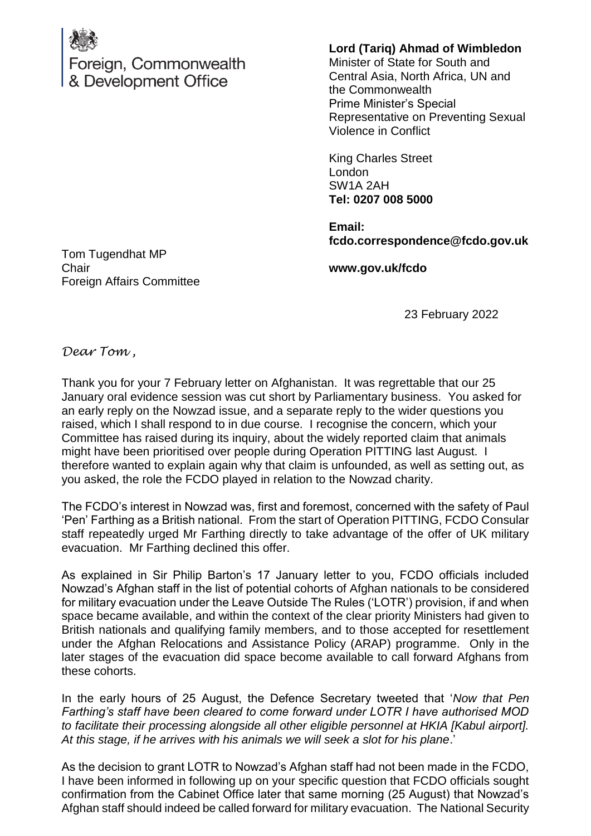

Foreign, Commonwealth & Development Office

**Lord (Tariq) Ahmad of Wimbledon**

Minister of State for South and Central Asia, North Africa, UN and the Commonwealth Prime Minister's Special Representative on Preventing Sexual Violence in Conflict

King Charles Street London SW1A 2AH **Tel: 0207 008 5000**

**Email: fcdo.correspondence@fcdo.gov.uk**

Tom Tugendhat MP **Chair** Foreign Affairs Committee

**www.gov.uk/fcdo**

23 February 2022

*Dear Tom ,*

Thank you for your 7 February letter on Afghanistan. It was regrettable that our 25 January oral evidence session was cut short by Parliamentary business. You asked for an early reply on the Nowzad issue, and a separate reply to the wider questions you raised, which I shall respond to in due course. I recognise the concern, which your Committee has raised during its inquiry, about the widely reported claim that animals might have been prioritised over people during Operation PITTING last August. I therefore wanted to explain again why that claim is unfounded, as well as setting out, as you asked, the role the FCDO played in relation to the Nowzad charity.

The FCDO's interest in Nowzad was, first and foremost, concerned with the safety of Paul 'Pen' Farthing as a British national. From the start of Operation PITTING, FCDO Consular staff repeatedly urged Mr Farthing directly to take advantage of the offer of UK military evacuation. Mr Farthing declined this offer.

As explained in Sir Philip Barton's 17 January letter to you, FCDO officials included Nowzad's Afghan staff in the list of potential cohorts of Afghan nationals to be considered for military evacuation under the Leave Outside The Rules ('LOTR') provision, if and when space became available, and within the context of the clear priority Ministers had given to British nationals and qualifying family members, and to those accepted for resettlement under the Afghan Relocations and Assistance Policy (ARAP) programme. Only in the later stages of the evacuation did space become available to call forward Afghans from these cohorts.

In the early hours of 25 August, the Defence Secretary tweeted that '*Now that Pen Farthing's staff have been cleared to come forward under LOTR I have authorised MOD to facilitate their processing alongside all other eligible personnel at HKIA [Kabul airport]. At this stage, if he arrives with his animals we will seek a slot for his plane*.'

As the decision to grant LOTR to Nowzad's Afghan staff had not been made in the FCDO, I have been informed in following up on your specific question that FCDO officials sought confirmation from the Cabinet Office later that same morning (25 August) that Nowzad's Afghan staff should indeed be called forward for military evacuation. The National Security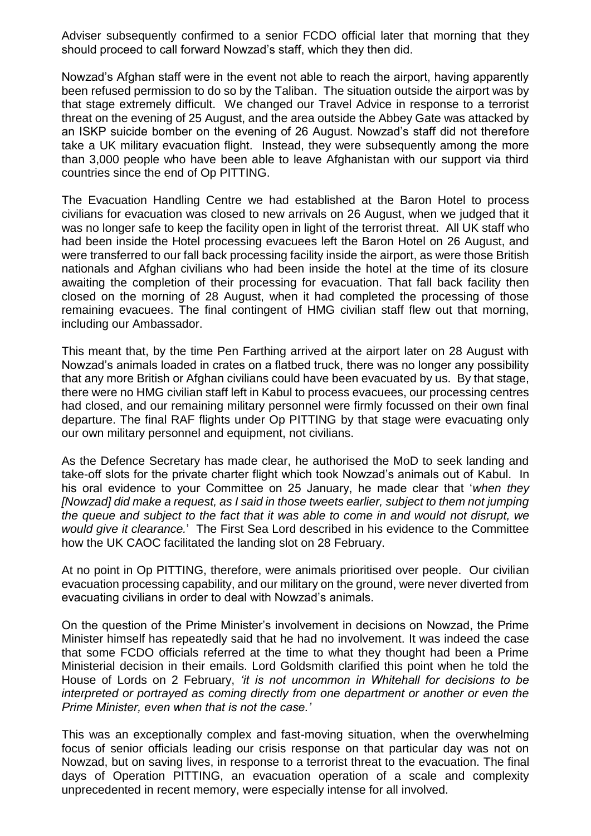Adviser subsequently confirmed to a senior FCDO official later that morning that they should proceed to call forward Nowzad's staff, which they then did.

Nowzad's Afghan staff were in the event not able to reach the airport, having apparently been refused permission to do so by the Taliban. The situation outside the airport was by that stage extremely difficult. We changed our Travel Advice in response to a terrorist threat on the evening of 25 August, and the area outside the Abbey Gate was attacked by an ISKP suicide bomber on the evening of 26 August. Nowzad's staff did not therefore take a UK military evacuation flight. Instead, they were subsequently among the more than 3,000 people who have been able to leave Afghanistan with our support via third countries since the end of Op PITTING.

The Evacuation Handling Centre we had established at the Baron Hotel to process civilians for evacuation was closed to new arrivals on 26 August, when we judged that it was no longer safe to keep the facility open in light of the terrorist threat. All UK staff who had been inside the Hotel processing evacuees left the Baron Hotel on 26 August, and were transferred to our fall back processing facility inside the airport, as were those British nationals and Afghan civilians who had been inside the hotel at the time of its closure awaiting the completion of their processing for evacuation. That fall back facility then closed on the morning of 28 August, when it had completed the processing of those remaining evacuees. The final contingent of HMG civilian staff flew out that morning, including our Ambassador.

This meant that, by the time Pen Farthing arrived at the airport later on 28 August with Nowzad's animals loaded in crates on a flatbed truck, there was no longer any possibility that any more British or Afghan civilians could have been evacuated by us. By that stage, there were no HMG civilian staff left in Kabul to process evacuees, our processing centres had closed, and our remaining military personnel were firmly focussed on their own final departure. The final RAF flights under Op PITTING by that stage were evacuating only our own military personnel and equipment, not civilians.

As the Defence Secretary has made clear, he authorised the MoD to seek landing and take-off slots for the private charter flight which took Nowzad's animals out of Kabul. In his oral evidence to your Committee on 25 January, he made clear that '*when they [Nowzad] did make a request, as I said in those tweets earlier, subject to them not jumping the queue and subject to the fact that it was able to come in and would not disrupt, we would give it clearance.*' The First Sea Lord described in his evidence to the Committee how the UK CAOC facilitated the landing slot on 28 February.

At no point in Op PITTING, therefore, were animals prioritised over people. Our civilian evacuation processing capability, and our military on the ground, were never diverted from evacuating civilians in order to deal with Nowzad's animals.

On the question of the Prime Minister's involvement in decisions on Nowzad, the Prime Minister himself has repeatedly said that he had no involvement. It was indeed the case that some FCDO officials referred at the time to what they thought had been a Prime Ministerial decision in their emails. Lord Goldsmith clarified this point when he told the House of Lords on 2 February, *'it is not uncommon in Whitehall for decisions to be interpreted or portrayed as coming directly from one department or another or even the Prime Minister, even when that is not the case.'*

This was an exceptionally complex and fast-moving situation, when the overwhelming focus of senior officials leading our crisis response on that particular day was not on Nowzad, but on saving lives, in response to a terrorist threat to the evacuation. The final days of Operation PITTING, an evacuation operation of a scale and complexity unprecedented in recent memory, were especially intense for all involved.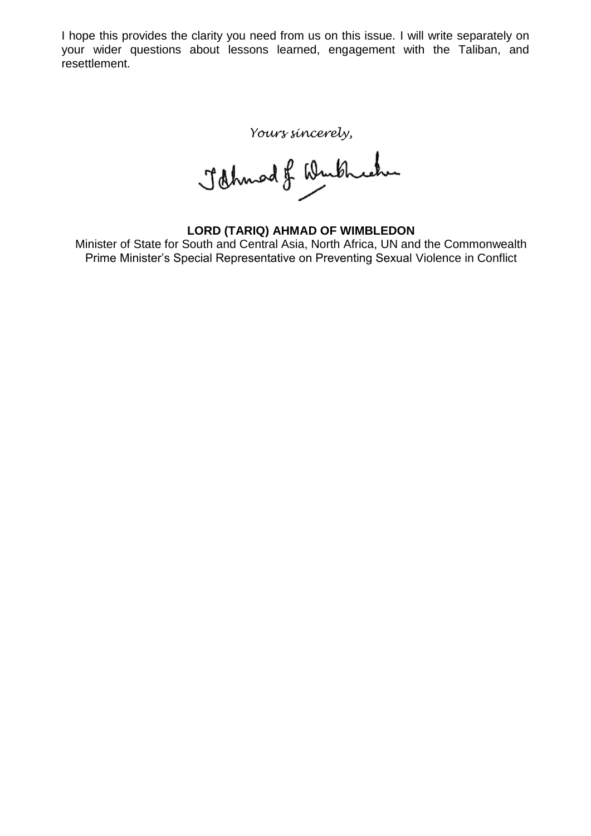I hope this provides the clarity you need from us on this issue. I will write separately on your wider questions about lessons learned, engagement with the Taliban, and resettlement.

*Yours sincerely,*<br>John od of Winkheeher

**LORD (TARIQ) AHMAD OF WIMBLEDON** Minister of State for South and Central Asia, North Africa, UN and the Commonwealth Prime Minister's Special Representative on Preventing Sexual Violence in Conflict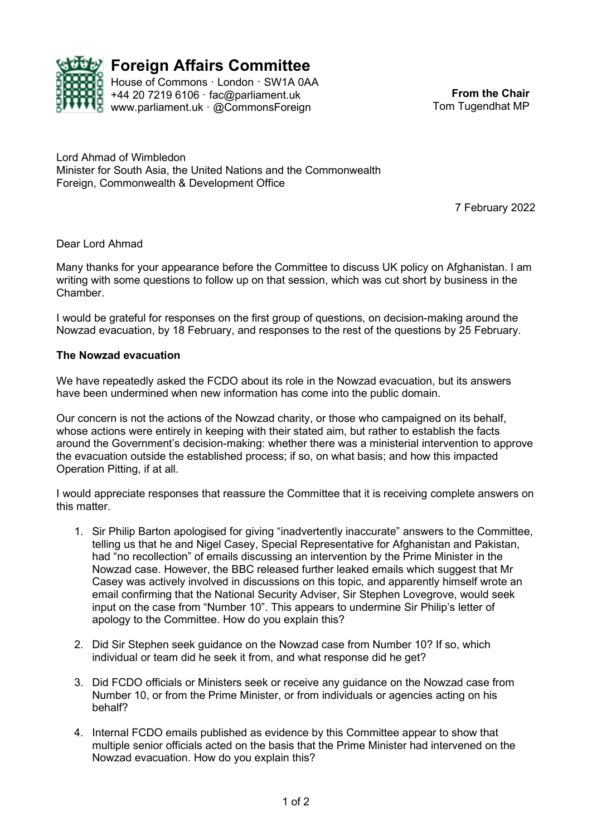

**Foreign Affairs Committee**<br>House of Commons London SW1A0AA House of Commons · London · SW1A 0AA +44 20 7219 6106 · fac@parliament.uk

www.parliament.uk · @CommonsForeign

**From the Chair** Tom Tugendhat MP

Lord Ahmad of Wimbledon Minister for South Asia, the United Nations and the Commonwealth Foreign, Commonwealth & Development Office

7 February 2022

#### Dear Lord Ahmad

Many thanks for your appearance before the Committee to discuss UK policy on Afghanistan. I am writing with some questions to follow up on that session, which was cut short by business in the Chamber.

I would be grateful for responses on the first group of questions, on decision-making around the Nowzad evacuation, by 18 February, and responses to the rest of the questions by 25 February.

#### **The Nowzad evacuation**

We have repeatedly asked the FCDO about its role in the Nowzad evacuation, but its answers have been undermined when new information has come into the public domain.

Our concern is not the actions of the Nowzad charity, or those who campaigned on its behalf, whose actions were entirely in keeping with their stated aim, but rather to establish the facts around the Government's decision-making: whether there was a ministerial intervention to approve the evacuation outside the established process; if so, on what basis; and how this impacted Operation Pitting, if at all.

I would appreciate responses that reassure the Committee that it is receiving complete answers on this matter.

- 1. Sir Philip Barton apologised for giving "inadvertently inaccurate" answers to the Committee, telling us that he and Nigel Casey, Special Representative for Afghanistan and Pakistan, had "no recollection" of emails discussing an intervention by the Prime Minister in the Nowzad case. However, the BBC released further leaked emails which suggest that Mr Casey was actively involved in discussions on this topic, and apparently himself wrote an email confirming that the National Security Adviser, Sir Stephen Lovegrove, would seek input on the case from "Number 10". This appears to undermine Sir Philip's letter of apology to the Committee. How do you explain this?
- 2. Did Sir Stephen seek guidance on the Nowzad case from Number 10? If so, which individual or team did he seek it from, and what response did he get?
- 3. Did FCDO officials or Ministers seek or receive any guidance on the Nowzad case from Number 10, or from the Prime Minister, or from individuals or agencies acting on his behalf?
- 4. Internal FCDO emails published as evidence by this Committee appear to show that multiple senior officials acted on the basis that the Prime Minister had intervened on the Nowzad evacuation. How do you explain this?